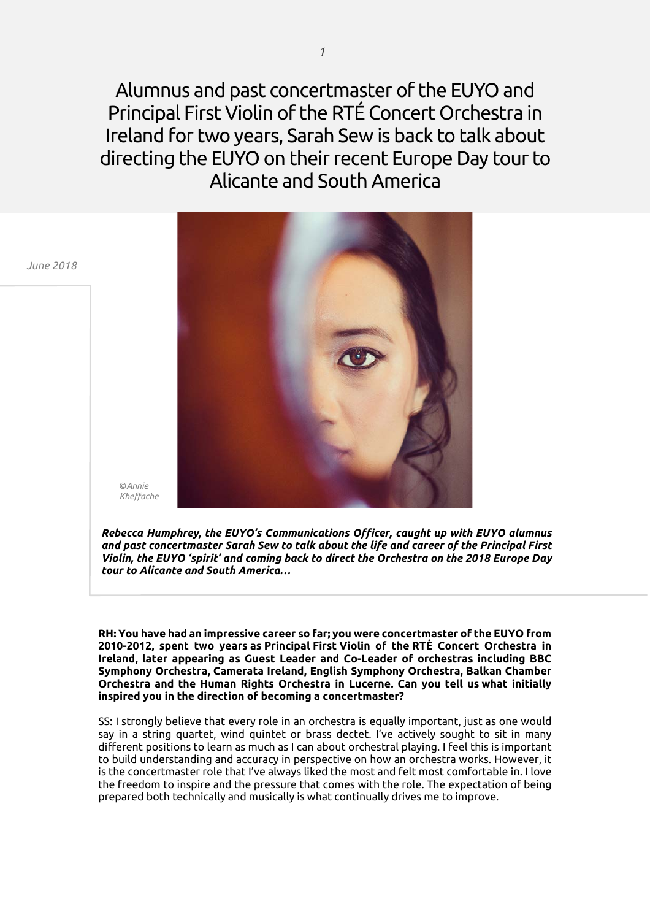Alumnus and past concertmaster of the EUYO and Principal First Violin of the RTÉ Concert Orchestra in Ireland for two years, Sarah Sew is back to talk about directing the EUYO on their recent Europe Day tour to Alicante and South America



*Rebecca Humphrey, the EUYO's Communications Officer, caught up with EUYO alumnus and past concertmaster Sarah Sew to talk about the life and career of the Principal First Violin, the EUYO 'spirit' and coming back to direct the Orchestra on the 2018 Europe Day tour to Alicante and South America…*

**RH: You have had an impressive career so far; you were concertmaster of the EUYO from 2010-2012, spent two years as Principal First Violin of the RTÉ Concert Orchestra in Ireland, later appearing as Guest Leader and Co-Leader of orchestras including BBC Symphony Orchestra, Camerata Ireland, English Symphony Orchestra, Balkan Chamber Orchestra and the Human Rights Orchestra in Lucerne. Can you tell us what initially inspired you in the direction of becoming a concertmaster?**

SS: I strongly believe that every role in an orchestra is equally important, just as one would say in a string quartet, wind quintet or brass dectet. I've actively sought to sit in many different positions to learn as much as I can about orchestral playing. I feel this is important to build understanding and accuracy in perspective on how an orchestra works. However, it is the concertmaster role that I've always liked the most and felt most comfortable in. I love the freedom to inspire and the pressure that comes with the role. The expectation of being prepared both technically and musically is what continually drives me to improve.

*June 2018*

©*Annie*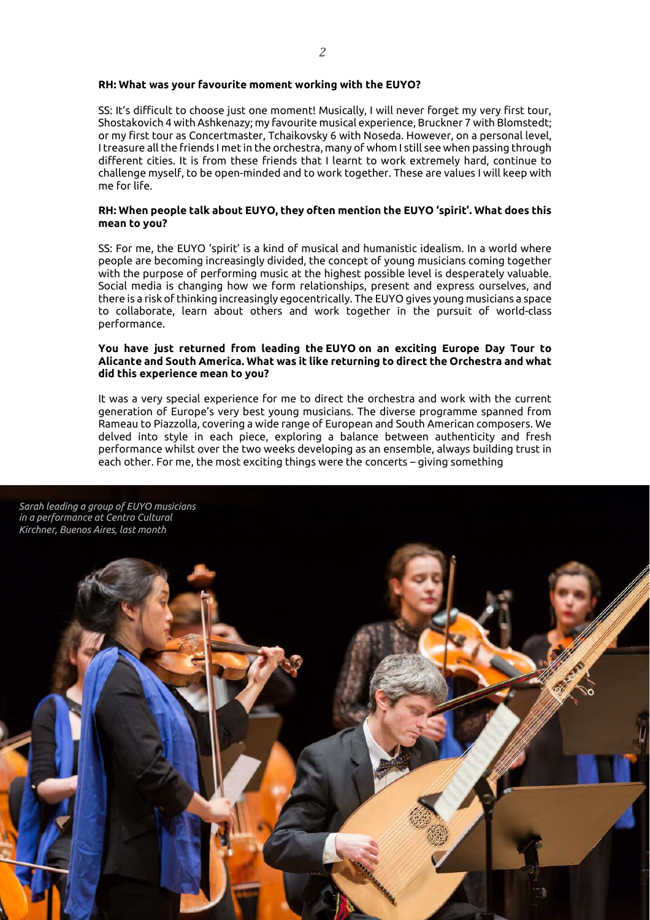## **RH: What was your favourite moment working with the EUYO?**

SS: It's difficult to choose just one moment! Musically, I will never forget my very first tour, Shostakovich 4 with Ashkenazy; my favourite musical experience, Bruckner 7 with Blomstedt; or my first tour as Concertmaster, Tchaikovsky 6 with Noseda. However, on a personal level, I treasure all the friends I met in the orchestra, many of whom I still see when passing through different cities. It is from these friends that I learnt to work extremely hard, continue to challenge myself, to be open-minded and to work together. These are values I will keep with me for life.

### **RH: When people talk about EUYO, they often mention the EUYO 'spirit'. What does this mean to you?**

SS: For me, the EUYO 'spirit' is a kind of musical and humanistic idealism. In a world where people are becoming increasingly divided, the concept of young musicians coming together with the purpose of performing music at the highest possible level is desperately valuable. Social media is changing how we form relationships, present and express ourselves, and there is a risk of thinking increasingly egocentrically. The EUYO gives young musicians a space to collaborate, learn about others and work together in the pursuit of world-class performance.

## **You have just returned from leading the EUYO on an exciting Europe Day Tour to Alicante and South America. What was it like returning to direct the Orchestra and what did this experience mean to you?**

It was a very special experience for me to direct the orchestra and work with the current generation of Europe's very best young musicians. The diverse programme spanned from Rameau to Piazzolla, covering a wide range of European and South American composers. We delved into style in each piece, exploring a balance between authenticity and fresh performance whilst over the two weeks developing as an ensemble, always building trust in each other. For me, the most exciting things were the concerts – giving something

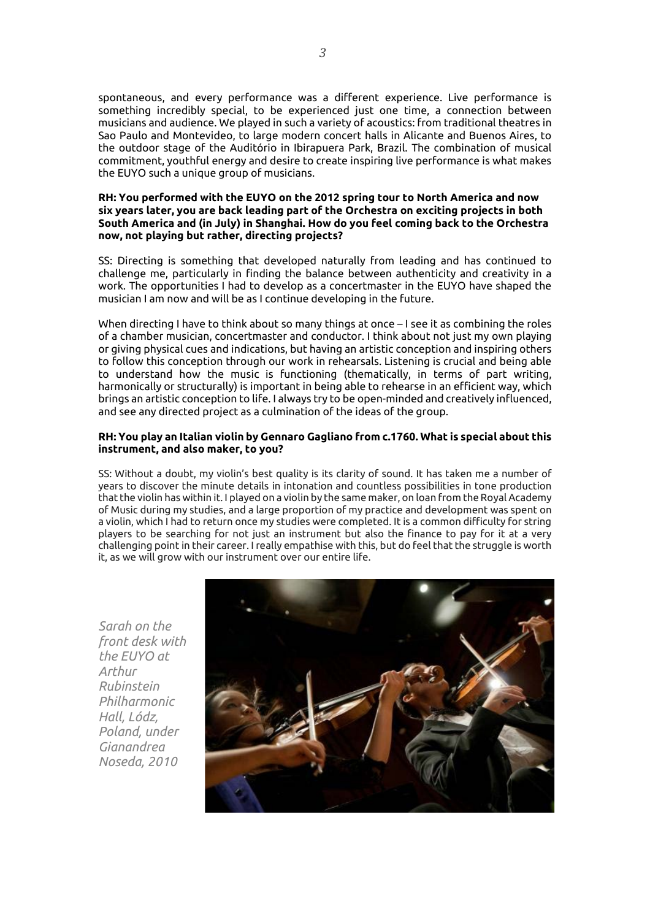spontaneous, and every performance was a different experience. Live performance is something incredibly special, to be experienced just one time, a connection between musicians and audience. We played in such a variety of acoustics: from traditional theatres in Sao Paulo and Montevideo, to large modern concert halls in Alicante and Buenos Aires, to the outdoor stage of the Auditório in Ibirapuera Park, Brazil. The combination of musical commitment, youthful energy and desire to create inspiring live performance is what makes the EUYO such a unique group of musicians.

# **RH: You performed with the EUYO on the 2012 spring tour to North America and now six years later, you are back leading part of the Orchestra on exciting projects in both South America and (in July) in Shanghai. How do you feel coming back to the Orchestra now, not playing but rather, directing projects?**

SS: Directing is something that developed naturally from leading and has continued to challenge me, particularly in finding the balance between authenticity and creativity in a work. The opportunities I had to develop as a concertmaster in the EUYO have shaped the musician I am now and will be as I continue developing in the future.

When directing I have to think about so many things at once – I see it as combining the roles of a chamber musician, concertmaster and conductor. I think about not just my own playing or giving physical cues and indications, but having an artistic conception and inspiring others to follow this conception through our work in rehearsals. Listening is crucial and being able to understand how the music is functioning (thematically, in terms of part writing, harmonically or structurally) is important in being able to rehearse in an efficient way, which brings an artistic conception to life. I always try to be open-minded and creatively influenced, and see any directed project as a culmination of the ideas of the group.

# **RH: You play an Italian violin by Gennaro Gagliano from c.1760. What is special about this instrument, and also maker, to you?**

SS: Without a doubt, my violin's best quality is its clarity of sound. It has taken me a number of years to discover the minute details in intonation and countless possibilities in tone production that the violin has within it. I played on a violin by the same maker, on loan from the Royal Academy of Music during my studies, and a large proportion of my practice and development was spent on a violin, which I had to return once my studies were completed. It is a common difficulty for string players to be searching for not just an instrument but also the finance to pay for it at a very challenging point in their career. I really empathise with this, but do feel that the struggle is worth it, as we will grow with our instrument over our entire life.

*Sarah on the front desk with the EUYO at Arthur Rubinstein Philharmonic Hall, Lódz, Poland, under Gianandrea Noseda, 2010*